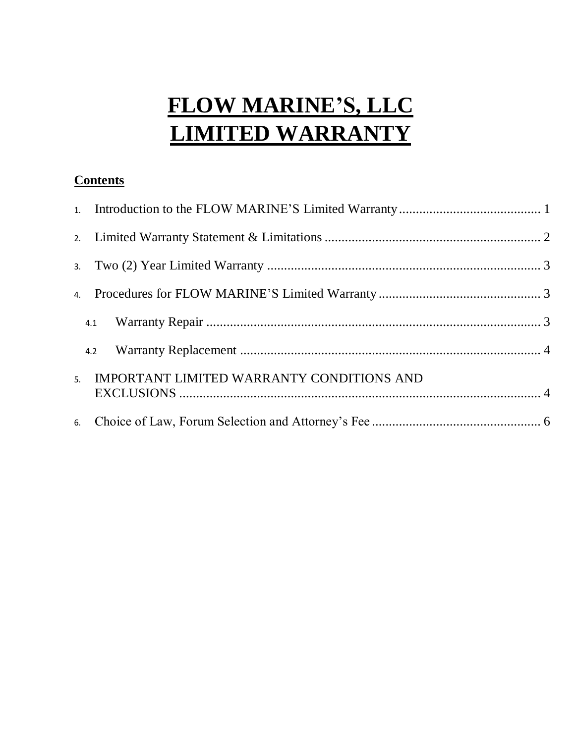# **FLOW MARINE'S, LLC LIMITED WARRANTY**

# **Contents**

| 4.2                                          |  |
|----------------------------------------------|--|
| 5. IMPORTANT LIMITED WARRANTY CONDITIONS AND |  |
|                                              |  |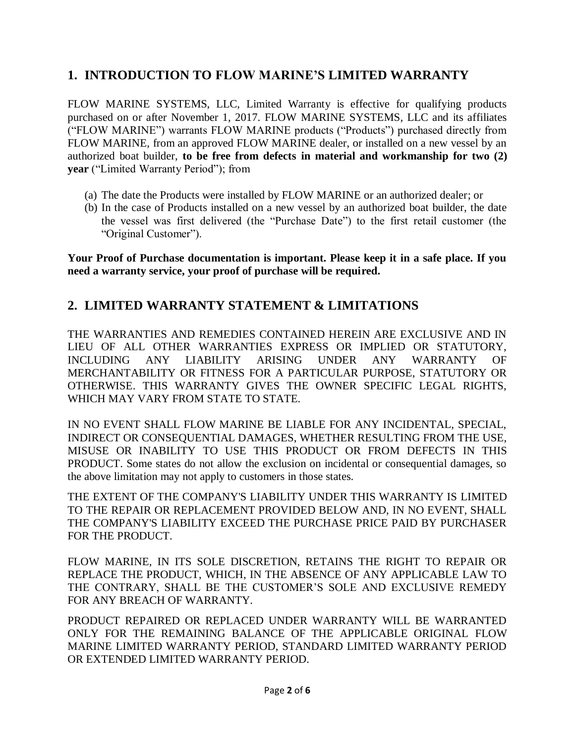## **1. INTRODUCTION TO FLOW MARINE'S LIMITED WARRANTY**

FLOW MARINE SYSTEMS, LLC, Limited Warranty is effective for qualifying products purchased on or after November 1, 2017. FLOW MARINE SYSTEMS, LLC and its affiliates ("FLOW MARINE") warrants FLOW MARINE products ("Products") purchased directly from FLOW MARINE, from an approved FLOW MARINE dealer, or installed on a new vessel by an authorized boat builder, **to be free from defects in material and workmanship for two (2) year** ("Limited Warranty Period"); from

- (a) The date the Products were installed by FLOW MARINE or an authorized dealer; or
- (b) In the case of Products installed on a new vessel by an authorized boat builder, the date the vessel was first delivered (the "Purchase Date") to the first retail customer (the "Original Customer").

**Your Proof of Purchase documentation is important. Please keep it in a safe place. If you need a warranty service, your proof of purchase will be required.**

#### **2. LIMITED WARRANTY STATEMENT & LIMITATIONS**

THE WARRANTIES AND REMEDIES CONTAINED HEREIN ARE EXCLUSIVE AND IN LIEU OF ALL OTHER WARRANTIES EXPRESS OR IMPLIED OR STATUTORY, INCLUDING ANY LIABILITY ARISING UNDER ANY WARRANTY OF MERCHANTABILITY OR FITNESS FOR A PARTICULAR PURPOSE, STATUTORY OR OTHERWISE. THIS WARRANTY GIVES THE OWNER SPECIFIC LEGAL RIGHTS, WHICH MAY VARY FROM STATE TO STATE.

IN NO EVENT SHALL FLOW MARINE BE LIABLE FOR ANY INCIDENTAL, SPECIAL, INDIRECT OR CONSEQUENTIAL DAMAGES, WHETHER RESULTING FROM THE USE, MISUSE OR INABILITY TO USE THIS PRODUCT OR FROM DEFECTS IN THIS PRODUCT. Some states do not allow the exclusion on incidental or consequential damages, so the above limitation may not apply to customers in those states.

THE EXTENT OF THE COMPANY'S LIABILITY UNDER THIS WARRANTY IS LIMITED TO THE REPAIR OR REPLACEMENT PROVIDED BELOW AND, IN NO EVENT, SHALL THE COMPANY'S LIABILITY EXCEED THE PURCHASE PRICE PAID BY PURCHASER FOR THE PRODUCT.

FLOW MARINE, IN ITS SOLE DISCRETION, RETAINS THE RIGHT TO REPAIR OR REPLACE THE PRODUCT, WHICH, IN THE ABSENCE OF ANY APPLICABLE LAW TO THE CONTRARY, SHALL BE THE CUSTOMER'S SOLE AND EXCLUSIVE REMEDY FOR ANY BREACH OF WARRANTY.

PRODUCT REPAIRED OR REPLACED UNDER WARRANTY WILL BE WARRANTED ONLY FOR THE REMAINING BALANCE OF THE APPLICABLE ORIGINAL FLOW MARINE LIMITED WARRANTY PERIOD, STANDARD LIMITED WARRANTY PERIOD OR EXTENDED LIMITED WARRANTY PERIOD.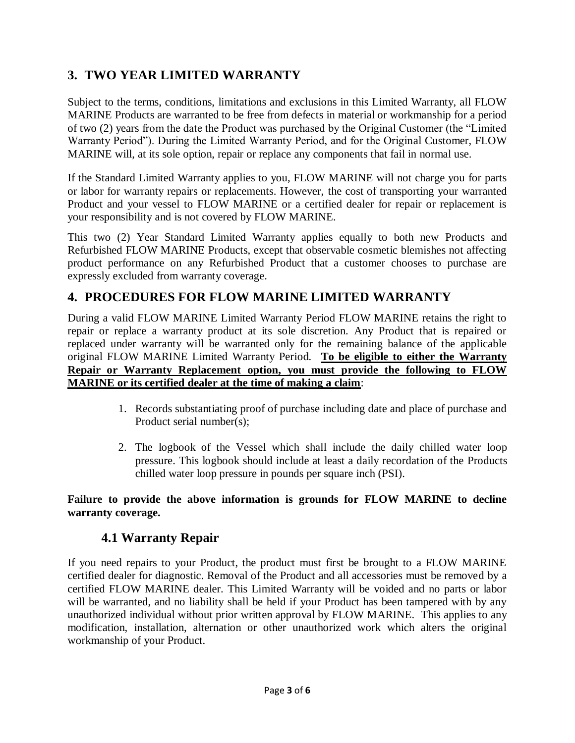# **3. TWO YEAR LIMITED WARRANTY**

Subject to the terms, conditions, limitations and exclusions in this Limited Warranty, all FLOW MARINE Products are warranted to be free from defects in material or workmanship for a period of two (2) years from the date the Product was purchased by the Original Customer (the "Limited Warranty Period"). During the Limited Warranty Period, and for the Original Customer, FLOW MARINE will, at its sole option, repair or replace any components that fail in normal use.

If the Standard Limited Warranty applies to you, FLOW MARINE will not charge you for parts or labor for warranty repairs or replacements. However, the cost of transporting your warranted Product and your vessel to FLOW MARINE or a certified dealer for repair or replacement is your responsibility and is not covered by FLOW MARINE.

This two (2) Year Standard Limited Warranty applies equally to both new Products and Refurbished FLOW MARINE Products, except that observable cosmetic blemishes not affecting product performance on any Refurbished Product that a customer chooses to purchase are expressly excluded from warranty coverage.

### **4. PROCEDURES FOR FLOW MARINE LIMITED WARRANTY**

During a valid FLOW MARINE Limited Warranty Period FLOW MARINE retains the right to repair or replace a warranty product at its sole discretion. Any Product that is repaired or replaced under warranty will be warranted only for the remaining balance of the applicable original FLOW MARINE Limited Warranty Period. **To be eligible to either the Warranty Repair or Warranty Replacement option, you must provide the following to FLOW MARINE or its certified dealer at the time of making a claim**:

- 1. Records substantiating proof of purchase including date and place of purchase and Product serial number(s);
- 2. The logbook of the Vessel which shall include the daily chilled water loop pressure. This logbook should include at least a daily recordation of the Products chilled water loop pressure in pounds per square inch (PSI).

**Failure to provide the above information is grounds for FLOW MARINE to decline warranty coverage.**

#### **4.1 Warranty Repair**

If you need repairs to your Product, the product must first be brought to a FLOW MARINE certified dealer for diagnostic. Removal of the Product and all accessories must be removed by a certified FLOW MARINE dealer. This Limited Warranty will be voided and no parts or labor will be warranted, and no liability shall be held if your Product has been tampered with by any unauthorized individual without prior written approval by FLOW MARINE. This applies to any modification, installation, alternation or other unauthorized work which alters the original workmanship of your Product.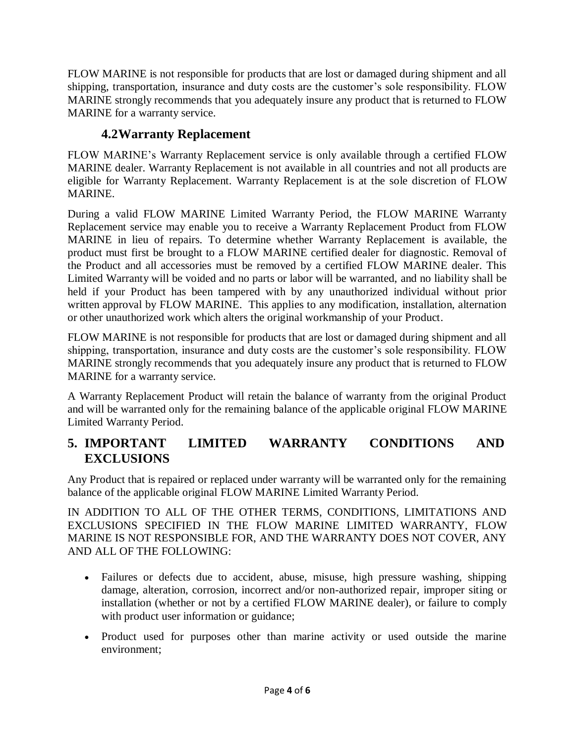FLOW MARINE is not responsible for products that are lost or damaged during shipment and all shipping, transportation, insurance and duty costs are the customer's sole responsibility. FLOW MARINE strongly recommends that you adequately insure any product that is returned to FLOW MARINE for a warranty service.

## **4.2Warranty Replacement**

FLOW MARINE's Warranty Replacement service is only available through a certified FLOW MARINE dealer. Warranty Replacement is not available in all countries and not all products are eligible for Warranty Replacement. Warranty Replacement is at the sole discretion of FLOW MARINE.

During a valid FLOW MARINE Limited Warranty Period, the FLOW MARINE Warranty Replacement service may enable you to receive a Warranty Replacement Product from FLOW MARINE in lieu of repairs. To determine whether Warranty Replacement is available, the product must first be brought to a FLOW MARINE certified dealer for diagnostic. Removal of the Product and all accessories must be removed by a certified FLOW MARINE dealer. This Limited Warranty will be voided and no parts or labor will be warranted, and no liability shall be held if your Product has been tampered with by any unauthorized individual without prior written approval by FLOW MARINE. This applies to any modification, installation, alternation or other unauthorized work which alters the original workmanship of your Product.

FLOW MARINE is not responsible for products that are lost or damaged during shipment and all shipping, transportation, insurance and duty costs are the customer's sole responsibility. FLOW MARINE strongly recommends that you adequately insure any product that is returned to FLOW MARINE for a warranty service.

A Warranty Replacement Product will retain the balance of warranty from the original Product and will be warranted only for the remaining balance of the applicable original FLOW MARINE Limited Warranty Period.

# **5. IMPORTANT LIMITED WARRANTY CONDITIONS AND EXCLUSIONS**

Any Product that is repaired or replaced under warranty will be warranted only for the remaining balance of the applicable original FLOW MARINE Limited Warranty Period.

IN ADDITION TO ALL OF THE OTHER TERMS, CONDITIONS, LIMITATIONS AND EXCLUSIONS SPECIFIED IN THE FLOW MARINE LIMITED WARRANTY, FLOW MARINE IS NOT RESPONSIBLE FOR, AND THE WARRANTY DOES NOT COVER, ANY AND ALL OF THE FOLLOWING:

- Failures or defects due to accident, abuse, misuse, high pressure washing, shipping damage, alteration, corrosion, incorrect and/or non-authorized repair, improper siting or installation (whether or not by a certified FLOW MARINE dealer), or failure to comply with product user information or guidance;
- Product used for purposes other than marine activity or used outside the marine environment;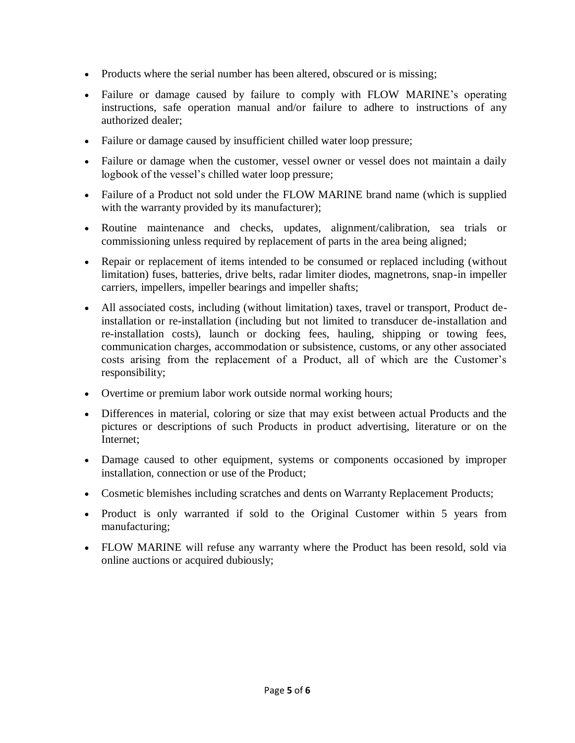- Products where the serial number has been altered, obscured or is missing;
- Failure or damage caused by failure to comply with FLOW MARINE's operating instructions, safe operation manual and/or failure to adhere to instructions of any authorized dealer;
- Failure or damage caused by insufficient chilled water loop pressure;
- Failure or damage when the customer, vessel owner or vessel does not maintain a daily logbook of the vessel's chilled water loop pressure;
- Failure of a Product not sold under the FLOW MARINE brand name (which is supplied with the warranty provided by its manufacturer);
- Routine maintenance and checks, updates, alignment/calibration, sea trials or commissioning unless required by replacement of parts in the area being aligned;
- Repair or replacement of items intended to be consumed or replaced including (without limitation) fuses, batteries, drive belts, radar limiter diodes, magnetrons, snap-in impeller carriers, impellers, impeller bearings and impeller shafts;
- All associated costs, including (without limitation) taxes, travel or transport, Product deinstallation or re-installation (including but not limited to transducer de-installation and re-installation costs), launch or docking fees, hauling, shipping or towing fees, communication charges, accommodation or subsistence, customs, or any other associated costs arising from the replacement of a Product, all of which are the Customer's responsibility;
- Overtime or premium labor work outside normal working hours;
- Differences in material, coloring or size that may exist between actual Products and the pictures or descriptions of such Products in product advertising, literature or on the Internet;
- Damage caused to other equipment, systems or components occasioned by improper installation, connection or use of the Product;
- Cosmetic blemishes including scratches and dents on Warranty Replacement Products;
- Product is only warranted if sold to the Original Customer within 5 years from manufacturing;
- FLOW MARINE will refuse any warranty where the Product has been resold, sold via online auctions or acquired dubiously;